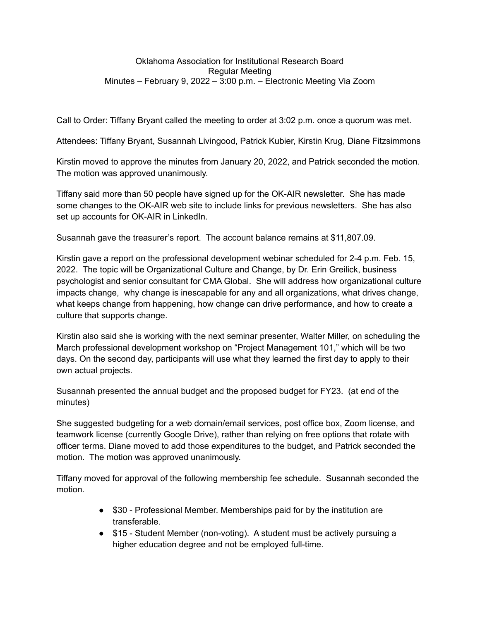#### Oklahoma Association for Institutional Research Board Regular Meeting Minutes – February 9, 2022 – 3:00 p.m. – Electronic Meeting Via Zoom

Call to Order: Tiffany Bryant called the meeting to order at 3:02 p.m. once a quorum was met.

Attendees: Tiffany Bryant, Susannah Livingood, Patrick Kubier, Kirstin Krug, Diane Fitzsimmons

Kirstin moved to approve the minutes from January 20, 2022, and Patrick seconded the motion. The motion was approved unanimously.

Tiffany said more than 50 people have signed up for the OK-AIR newsletter. She has made some changes to the OK-AIR web site to include links for previous newsletters. She has also set up accounts for OK-AIR in LinkedIn.

Susannah gave the treasurer's report. The account balance remains at \$11,807.09.

Kirstin gave a report on the professional development webinar scheduled for 2-4 p.m. Feb. 15, 2022. The topic will be Organizational Culture and Change, by Dr. Erin Greilick, business psychologist and senior consultant for CMA Global. She will address how organizational culture impacts change, why change is inescapable for any and all organizations, what drives change, what keeps change from happening, how change can drive performance, and how to create a culture that supports change.

Kirstin also said she is working with the next seminar presenter, Walter Miller, on scheduling the March professional development workshop on "Project Management 101," which will be two days. On the second day, participants will use what they learned the first day to apply to their own actual projects.

Susannah presented the annual budget and the proposed budget for FY23. (at end of the minutes)

She suggested budgeting for a web domain/email services, post office box, Zoom license, and teamwork license (currently Google Drive), rather than relying on free options that rotate with officer terms. Diane moved to add those expenditures to the budget, and Patrick seconded the motion. The motion was approved unanimously.

Tiffany moved for approval of the following membership fee schedule. Susannah seconded the motion.

- \$30 Professional Member. Memberships paid for by the institution are transferable.
- \$15 Student Member (non-voting). A student must be actively pursuing a higher education degree and not be employed full-time.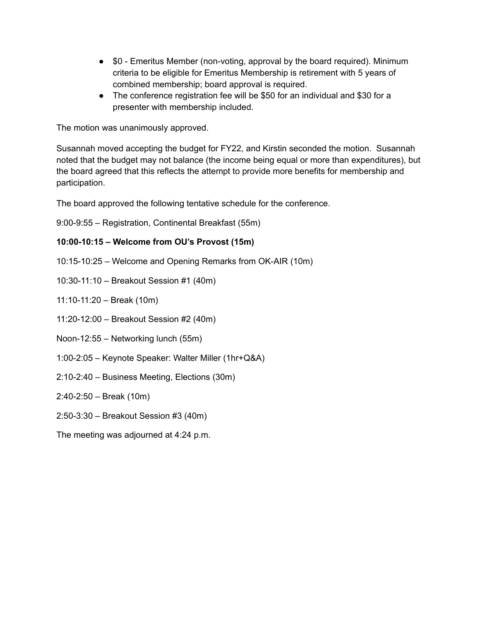- \$0 Emeritus Member (non-voting, approval by the board required). Minimum criteria to be eligible for Emeritus Membership is retirement with 5 years of combined membership; board approval is required.
- The conference registration fee will be \$50 for an individual and \$30 for a presenter with membership included.

The motion was unanimously approved.

Susannah moved accepting the budget for FY22, and Kirstin seconded the motion. Susannah noted that the budget may not balance (the income being equal or more than expenditures), but the board agreed that this reflects the attempt to provide more benefits for membership and participation.

The board approved the following tentative schedule for the conference.

9:00-9:55 – Registration, Continental Breakfast (55m)

### **10:00-10:15 – Welcome from OU's Provost (15m)**

10:15-10:25 – Welcome and Opening Remarks from OK-AIR (10m)

10:30-11:10 – Breakout Session #1 (40m)

11:10-11:20 – Break (10m)

11:20-12:00 – Breakout Session #2 (40m)

Noon-12:55 – Networking lunch (55m)

- 1:00-2:05 Keynote Speaker: Walter Miller (1hr+Q&A)
- 2:10-2:40 Business Meeting, Elections (30m)

### 2:40-2:50 – Break (10m)

- 2:50-3:30 Breakout Session #3 (40m)
- The meeting was adjourned at 4:24 p.m.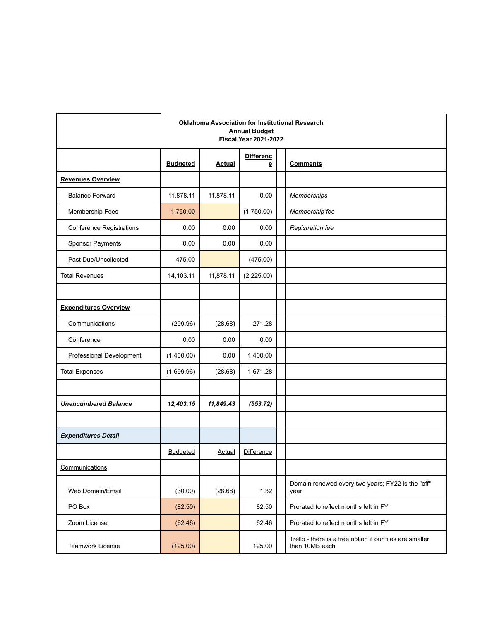|                                 | <b>Oklahoma Association for Institutional Research</b><br><b>Annual Budget</b><br><b>Fiscal Year 2021-2022</b> |               |                       |  |                                                                            |  |  |  |  |
|---------------------------------|----------------------------------------------------------------------------------------------------------------|---------------|-----------------------|--|----------------------------------------------------------------------------|--|--|--|--|
|                                 | <b>Budgeted</b>                                                                                                | <b>Actual</b> | <b>Differenc</b><br>e |  | <b>Comments</b>                                                            |  |  |  |  |
| <b>Revenues Overview</b>        |                                                                                                                |               |                       |  |                                                                            |  |  |  |  |
| <b>Balance Forward</b>          | 11,878.11                                                                                                      | 11,878.11     | 0.00                  |  | Memberships                                                                |  |  |  |  |
| Membership Fees                 | 1,750.00                                                                                                       |               | (1,750.00)            |  | Membership fee                                                             |  |  |  |  |
| <b>Conference Registrations</b> | 0.00                                                                                                           | 0.00          | 0.00                  |  | Registration fee                                                           |  |  |  |  |
| Sponsor Payments                | 0.00                                                                                                           | 0.00          | 0.00                  |  |                                                                            |  |  |  |  |
| Past Due/Uncollected            | 475.00                                                                                                         |               | (475.00)              |  |                                                                            |  |  |  |  |
| <b>Total Revenues</b>           | 14,103.11                                                                                                      | 11,878.11     | (2,225.00)            |  |                                                                            |  |  |  |  |
|                                 |                                                                                                                |               |                       |  |                                                                            |  |  |  |  |
| <b>Expenditures Overview</b>    |                                                                                                                |               |                       |  |                                                                            |  |  |  |  |
| Communications                  | (299.96)                                                                                                       | (28.68)       | 271.28                |  |                                                                            |  |  |  |  |
| Conference                      | 0.00                                                                                                           | 0.00          | 0.00                  |  |                                                                            |  |  |  |  |
| Professional Development        | (1,400.00)                                                                                                     | 0.00          | 1,400.00              |  |                                                                            |  |  |  |  |
| <b>Total Expenses</b>           | (1,699.96)                                                                                                     | (28.68)       | 1,671.28              |  |                                                                            |  |  |  |  |
|                                 |                                                                                                                |               |                       |  |                                                                            |  |  |  |  |
| <b>Unencumbered Balance</b>     | 12,403.15                                                                                                      | 11,849.43     | (553.72)              |  |                                                                            |  |  |  |  |
|                                 |                                                                                                                |               |                       |  |                                                                            |  |  |  |  |
| <b>Expenditures Detail</b>      |                                                                                                                |               |                       |  |                                                                            |  |  |  |  |
|                                 | <b>Budgeted</b>                                                                                                | <b>Actual</b> | Difference            |  |                                                                            |  |  |  |  |
| Communications                  |                                                                                                                |               |                       |  |                                                                            |  |  |  |  |
| Web Domain/Email                | (30.00)                                                                                                        | (28.68)       | 1.32                  |  | Domain renewed every two years; FY22 is the "off"<br>year                  |  |  |  |  |
| PO Box                          | (82.50)                                                                                                        |               | 82.50                 |  | Prorated to reflect months left in FY                                      |  |  |  |  |
| Zoom License                    | (62.46)                                                                                                        |               | 62.46                 |  | Prorated to reflect months left in FY                                      |  |  |  |  |
| <b>Teamwork License</b>         | (125.00)                                                                                                       |               | 125.00                |  | Trello - there is a free option if our files are smaller<br>than 10MB each |  |  |  |  |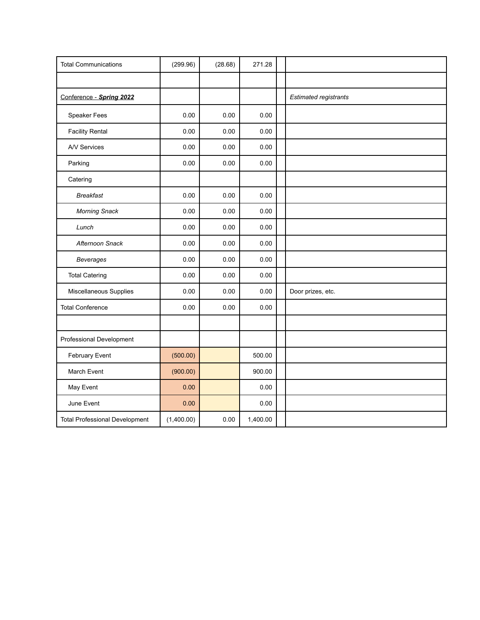| <b>Total Communications</b>           | (299.96)   | (28.68) | 271.28   |                              |
|---------------------------------------|------------|---------|----------|------------------------------|
|                                       |            |         |          |                              |
| Conference - Spring 2022              |            |         |          | <b>Estimated registrants</b> |
| Speaker Fees                          | 0.00       | 0.00    | 0.00     |                              |
| <b>Facility Rental</b>                | 0.00       | 0.00    | 0.00     |                              |
| A/V Services                          | 0.00       | 0.00    | 0.00     |                              |
| Parking                               | 0.00       | 0.00    | 0.00     |                              |
| Catering                              |            |         |          |                              |
| <b>Breakfast</b>                      | 0.00       | 0.00    | 0.00     |                              |
| <b>Morning Snack</b>                  | 0.00       | 0.00    | 0.00     |                              |
| Lunch                                 | 0.00       | 0.00    | 0.00     |                              |
| Afternoon Snack                       | 0.00       | 0.00    | 0.00     |                              |
| <b>Beverages</b>                      | 0.00       | 0.00    | 0.00     |                              |
| <b>Total Catering</b>                 | 0.00       | 0.00    | 0.00     |                              |
| Miscellaneous Supplies                | 0.00       | 0.00    | 0.00     | Door prizes, etc.            |
| <b>Total Conference</b>               | 0.00       | 0.00    | 0.00     |                              |
|                                       |            |         |          |                              |
| Professional Development              |            |         |          |                              |
| February Event                        | (500.00)   |         | 500.00   |                              |
| March Event                           | (900.00)   |         | 900.00   |                              |
| May Event                             | 0.00       |         | 0.00     |                              |
| June Event                            | 0.00       |         | 0.00     |                              |
| <b>Total Professional Development</b> | (1,400.00) | 0.00    | 1,400.00 |                              |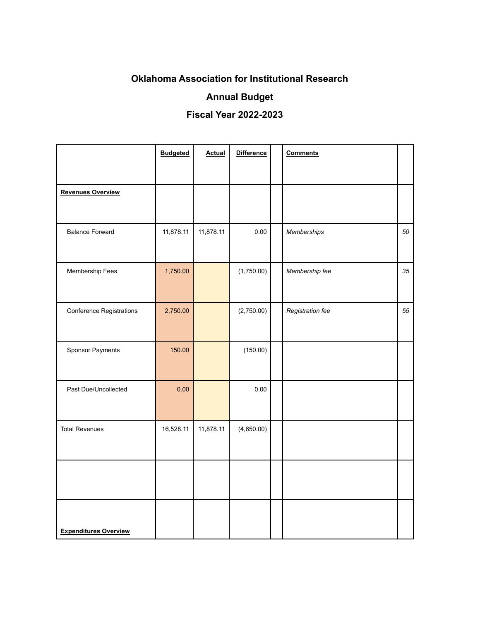# **Oklahoma Association for Institutional Research**

## **Annual Budget**

## **Fiscal Year 2022-2023**

|                                 | <b>Budgeted</b> | <b>Actual</b> | <b>Difference</b> | <b>Comments</b>  |    |
|---------------------------------|-----------------|---------------|-------------------|------------------|----|
|                                 |                 |               |                   |                  |    |
| <b>Revenues Overview</b>        |                 |               |                   |                  |    |
|                                 |                 |               |                   |                  |    |
| <b>Balance Forward</b>          | 11,878.11       | 11,878.11     | 0.00              | Memberships      | 50 |
| Membership Fees                 | 1,750.00        |               | (1,750.00)        | Membership fee   | 35 |
|                                 |                 |               |                   |                  |    |
| <b>Conference Registrations</b> | 2,750.00        |               | (2,750.00)        | Registration fee | 55 |
|                                 |                 |               |                   |                  |    |
| Sponsor Payments                | 150.00          |               | (150.00)          |                  |    |
|                                 |                 |               |                   |                  |    |
| Past Due/Uncollected            | 0.00            |               | 0.00              |                  |    |
|                                 |                 |               |                   |                  |    |
| <b>Total Revenues</b>           | 16,528.11       | 11,878.11     | (4,650.00)        |                  |    |
|                                 |                 |               |                   |                  |    |
|                                 |                 |               |                   |                  |    |
|                                 |                 |               |                   |                  |    |
|                                 |                 |               |                   |                  |    |
| <b>Expenditures Overview</b>    |                 |               |                   |                  |    |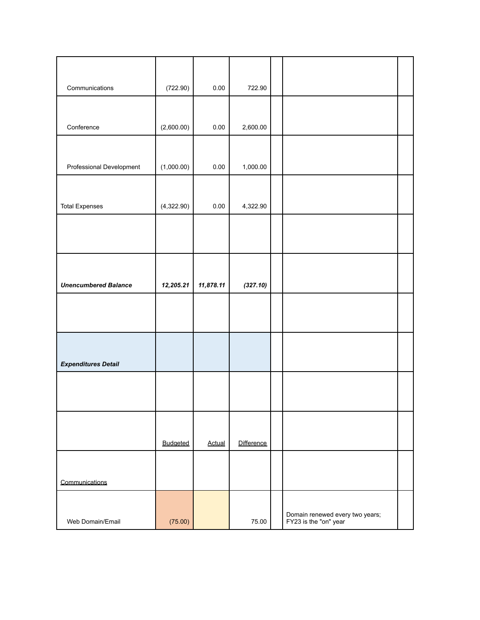| Communications              | (722.90)   | $0.00\,$      | 722.90     |                                                          |  |
|-----------------------------|------------|---------------|------------|----------------------------------------------------------|--|
|                             |            |               |            |                                                          |  |
|                             |            |               |            |                                                          |  |
| Conference                  | (2,600.00) | $0.00\,$      | 2,600.00   |                                                          |  |
|                             |            |               |            |                                                          |  |
| Professional Development    | (1,000.00) | 0.00          | 1,000.00   |                                                          |  |
|                             |            |               |            |                                                          |  |
|                             | (4,322.90) | $0.00\,$      | 4,322.90   |                                                          |  |
| <b>Total Expenses</b>       |            |               |            |                                                          |  |
|                             |            |               |            |                                                          |  |
|                             |            |               |            |                                                          |  |
|                             |            |               |            |                                                          |  |
| <b>Unencumbered Balance</b> | 12,205.21  | 11,878.11     | (327.10)   |                                                          |  |
|                             |            |               |            |                                                          |  |
|                             |            |               |            |                                                          |  |
|                             |            |               |            |                                                          |  |
|                             |            |               |            |                                                          |  |
| <b>Expenditures Detail</b>  |            |               |            |                                                          |  |
|                             |            |               |            |                                                          |  |
|                             |            |               |            |                                                          |  |
|                             |            |               |            |                                                          |  |
|                             |            |               |            |                                                          |  |
|                             | Budgeted   | <b>Actual</b> | Difference |                                                          |  |
|                             |            |               |            |                                                          |  |
| Communications              |            |               |            |                                                          |  |
|                             |            |               |            |                                                          |  |
|                             |            |               |            |                                                          |  |
| Web Domain/Email            | (75.00)    |               | 75.00      | Domain renewed every two years;<br>FY23 is the "on" year |  |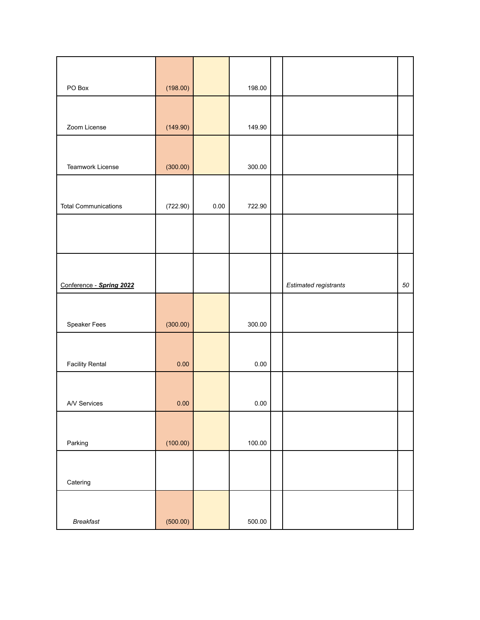| PO Box                      | (198.00) |          | 198.00 |                       |    |
|-----------------------------|----------|----------|--------|-----------------------|----|
|                             |          |          |        |                       |    |
| Zoom License                | (149.90) |          | 149.90 |                       |    |
|                             |          |          |        |                       |    |
| Teamwork License            | (300.00) |          | 300.00 |                       |    |
|                             |          |          |        |                       |    |
| <b>Total Communications</b> | (722.90) | $0.00\,$ | 722.90 |                       |    |
|                             |          |          |        |                       |    |
|                             |          |          |        |                       |    |
|                             |          |          |        |                       |    |
| Conference - Spring 2022    |          |          |        | Estimated registrants | 50 |
|                             |          |          |        |                       |    |
| Speaker Fees                | (300.00) |          | 300.00 |                       |    |
|                             |          |          |        |                       |    |
| <b>Facility Rental</b>      | 0.00     |          | 0.00   |                       |    |
|                             |          |          |        |                       |    |
| A/V Services                | 0.00     |          | 0.00   |                       |    |
|                             |          |          |        |                       |    |
| Parking                     | (100.00) |          | 100.00 |                       |    |
|                             |          |          |        |                       |    |
| Catering                    |          |          |        |                       |    |
|                             |          |          |        |                       |    |
| <b>Breakfast</b>            | (500.00) |          | 500.00 |                       |    |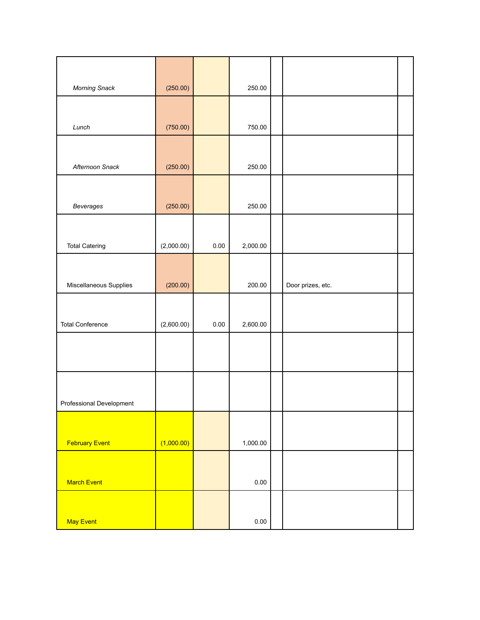| <b>Morning Snack</b>     | (250.00)   |      | 250.00   |                   |  |
|--------------------------|------------|------|----------|-------------------|--|
|                          |            |      |          |                   |  |
| Lunch                    | (750.00)   |      | 750.00   |                   |  |
|                          |            |      |          |                   |  |
| Afternoon Snack          | (250.00)   |      | 250.00   |                   |  |
|                          |            |      |          |                   |  |
| Beverages                | (250.00)   |      | 250.00   |                   |  |
|                          |            |      |          |                   |  |
| <b>Total Catering</b>    | (2,000.00) | 0.00 | 2,000.00 |                   |  |
|                          |            |      |          |                   |  |
| Miscellaneous Supplies   | (200.00)   |      | 200.00   | Door prizes, etc. |  |
|                          |            |      |          |                   |  |
| <b>Total Conference</b>  | (2,600.00) | 0.00 | 2,600.00 |                   |  |
|                          |            |      |          |                   |  |
|                          |            |      |          |                   |  |
|                          |            |      |          |                   |  |
| Professional Development |            |      |          |                   |  |
|                          |            |      |          |                   |  |
| <b>February Event</b>    | (1,000.00) |      | 1,000.00 |                   |  |
|                          |            |      |          |                   |  |
| <b>March Event</b>       |            |      | $0.00\,$ |                   |  |
|                          |            |      |          |                   |  |
| May Event                |            |      | $0.00\,$ |                   |  |